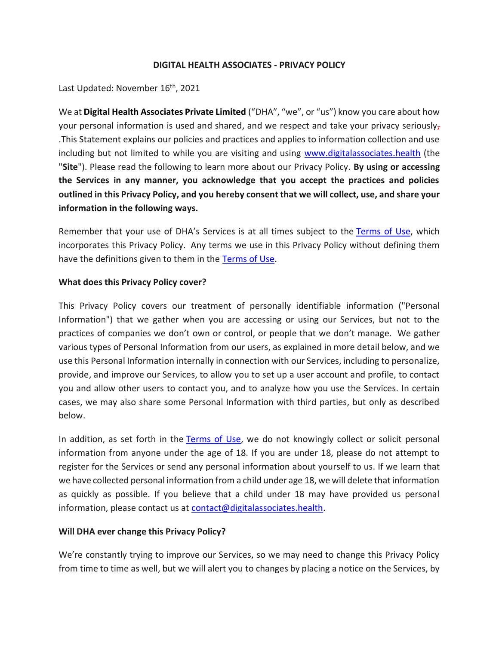### **DIGITAL HEALTH ASSOCIATES - PRIVACY POLICY**

Last Updated: November 16<sup>th</sup>, 2021

We at **Digital Health Associates Private Limited** ("DHA", "we", or "us") know you care about how your personal information is used and shared, and we respect and take your privacy seriously, .This Statement explains our policies and practices and applies to information collection and use including but not limited to while you are visiting and using [www.digitalassociates.health](http://www.digitalassociates.health/) (the "**Site**"). Please read the following to learn more about our Privacy Policy. **By using or accessing the Services in any manner, you acknowledge that you accept the practices and policies outlined in this Privacy Policy, and you hereby consent that we will collect, use, and share your information in the following ways.**

Remember that your use of DHA's Services is at all times subject to the [Terms of Use,](/wp-content/uploads/2021/12/DHA_Terms-of-Service_User-_Final.pdf) which incorporates this Privacy Policy. Any terms we use in this Privacy Policy without defining them have the definitions given to them in the [Terms of Use.](/wp-content/uploads/2021/12/DHA_Terms-of-Service_User-_Final.pdf)

### **What does this Privacy Policy cover?**

This Privacy Policy covers our treatment of personally identifiable information ("Personal Information") that we gather when you are accessing or using our Services, but not to the practices of companies we don't own or control, or people that we don't manage. We gather various types of Personal Information from our users, as explained in more detail below, and we use this Personal Information internally in connection with our Services, including to personalize, provide, and improve our Services, to allow you to set up a user account and profile, to contact you and allow other users to contact you, and to analyze how you use the Services. In certain cases, we may also share some Personal Information with third parties, but only as described below.

In addition, as set forth in the [Terms of Use,](/wp-content/uploads/2021/12/DHA_Terms-of-Service_User-_Final.pdf) we do not knowingly collect or solicit personal information from anyone under the age of 18. If you are under 18, please do not attempt to register for the Services or send any personal information about yourself to us. If we learn that we have collected personal information from a child under age 18, we will delete that information as quickly as possible. If you believe that a child under 18 may have provided us personal information, please contact us at [contact@digitalassociates.health.](mailto:contact@digitalassociates.health)

### **Will DHA ever change this Privacy Policy?**

We're constantly trying to improve our Services, so we may need to change this Privacy Policy from time to time as well, but we will alert you to changes by placing a notice on the Services, by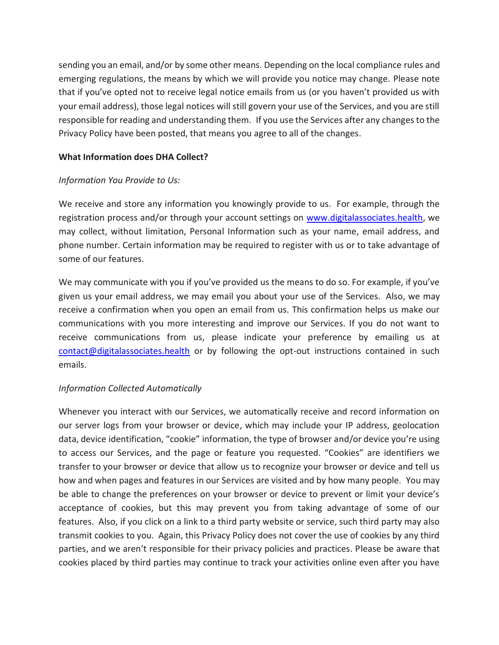sending you an email, and/or by some other means. Depending on the local compliance rules and emerging regulations, the means by which we will provide you notice may change. Please note that if you've opted not to receive legal notice emails from us (or you haven't provided us with your email address), those legal notices will still govern your use of the Services, and you are still responsible for reading and understanding them. If you use the Services after any changes to the Privacy Policy have been posted, that means you agree to all of the changes.

## **What Information does DHA Collect?**

### *Information You Provide to Us:*

We receive and store any information you knowingly provide to us. For example, through the registration process and/or through your account settings on [www.digitalassociates.health,](http://www.digitalassociates.health/) we may collect, without limitation, Personal Information such as your name, email address, and phone number. Certain information may be required to register with us or to take advantage of some of our features.

We may communicate with you if you've provided us the means to do so. For example, if you've given us your email address, we may email you about your use of the Services. Also, we may receive a confirmation when you open an email from us. This confirmation helps us make our communications with you more interesting and improve our Services. If you do not want to receive communications from us, please indicate your preference by emailing us at [contact@digitalassociates.health](mailto:contact@digitalassociates.health) or by following the opt-out instructions contained in such emails.

# *Information Collected Automatically*

Whenever you interact with our Services, we automatically receive and record information on our server logs from your browser or device, which may include your IP address, geolocation data, device identification, "cookie" information, the type of browser and/or device you're using to access our Services, and the page or feature you requested. "Cookies" are identifiers we transfer to your browser or device that allow us to recognize your browser or device and tell us how and when pages and features in our Services are visited and by how many people. You may be able to change the preferences on your browser or device to prevent or limit your device's acceptance of cookies, but this may prevent you from taking advantage of some of our features. Also, if you click on a link to a third party website or service, such third party may also transmit cookies to you. Again, this Privacy Policy does not cover the use of cookies by any third parties, and we aren't responsible for their privacy policies and practices. Please be aware that cookies placed by third parties may continue to track your activities online even after you have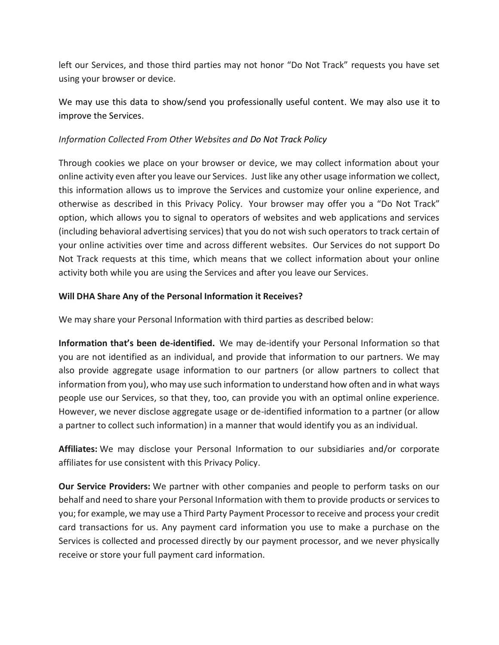left our Services, and those third parties may not honor "Do Not Track" requests you have set using your browser or device.

We may use this data to show/send you professionally useful content. We may also use it to improve the Services.

# *Information Collected From Other Websites and Do Not Track Policy*

Through cookies we place on your browser or device, we may collect information about your online activity even after you leave our Services. Just like any other usage information we collect, this information allows us to improve the Services and customize your online experience, and otherwise as described in this Privacy Policy. Your browser may offer you a "Do Not Track" option, which allows you to signal to operators of websites and web applications and services (including behavioral advertising services) that you do not wish such operators to track certain of your online activities over time and across different websites. Our Services do not support Do Not Track requests at this time, which means that we collect information about your online activity both while you are using the Services and after you leave our Services.

### **Will DHA Share Any of the Personal Information it Receives?**

We may share your Personal Information with third parties as described below:

**Information that's been de-identified.** We may de-identify your Personal Information so that you are not identified as an individual, and provide that information to our partners. We may also provide aggregate usage information to our partners (or allow partners to collect that information from you), who may use such information to understand how often and in what ways people use our Services, so that they, too, can provide you with an optimal online experience. However, we never disclose aggregate usage or de-identified information to a partner (or allow a partner to collect such information) in a manner that would identify you as an individual.

**Affiliates:** We may disclose your Personal Information to our subsidiaries and/or corporate affiliates for use consistent with this Privacy Policy.

**Our Service Providers:** We partner with other companies and people to perform tasks on our behalf and need to share your Personal Information with them to provide products or services to you; for example, we may use a Third Party Payment Processor to receive and process your credit card transactions for us. Any payment card information you use to make a purchase on the Services is collected and processed directly by our payment processor, and we never physically receive or store your full payment card information.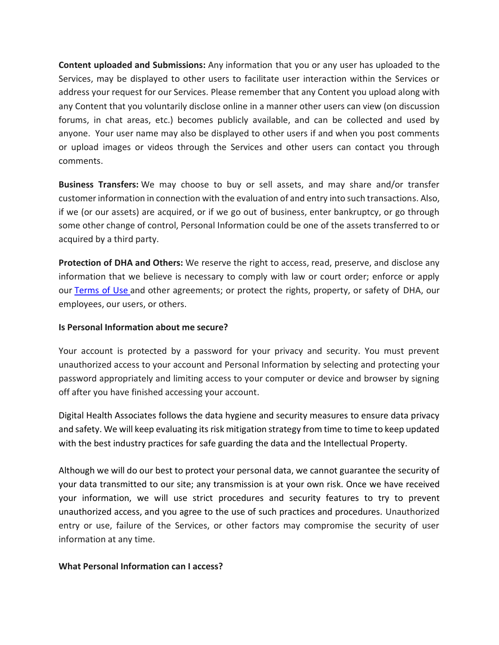**Content uploaded and Submissions:** Any information that you or any user has uploaded to the Services, may be displayed to other users to facilitate user interaction within the Services or address your request for our Services. Please remember that any Content you upload along with any Content that you voluntarily disclose online in a manner other users can view (on discussion forums, in chat areas, etc.) becomes publicly available, and can be collected and used by anyone. Your user name may also be displayed to other users if and when you post comments or upload images or videos through the Services and other users can contact you through comments.

**Business Transfers:** We may choose to buy or sell assets, and may share and/or transfer customer information in connection with the evaluation of and entry into such transactions. Also, if we (or our assets) are acquired, or if we go out of business, enter bankruptcy, or go through some other change of control, Personal Information could be one of the assets transferred to or acquired by a third party.

**Protection of DHA and Others:** We reserve the right to access, read, preserve, and disclose any information that we believe is necessary to comply with law or court order; enforce or apply our [Terms of Use](/wp-content/uploads/2021/12/DHA_Terms-of-Service_User-_Final.pdf) and other agreements; or protect the rights, property, or safety of DHA, our employees, our users, or others.

## **Is Personal Information about me secure?**

Your account is protected by a password for your privacy and security. You must prevent unauthorized access to your account and Personal Information by selecting and protecting your password appropriately and limiting access to your computer or device and browser by signing off after you have finished accessing your account.

Digital Health Associates follows the data hygiene and security measures to ensure data privacy and safety. We will keep evaluating its risk mitigation strategy from time to time to keep updated with the best industry practices for safe guarding the data and the Intellectual Property.

Although we will do our best to protect your personal data, we cannot guarantee the security of your data transmitted to our site; any transmission is at your own risk. Once we have received your information, we will use strict procedures and security features to try to prevent unauthorized access, and you agree to the use of such practices and procedures. Unauthorized entry or use, failure of the Services, or other factors may compromise the security of user information at any time.

### **What Personal Information can I access?**